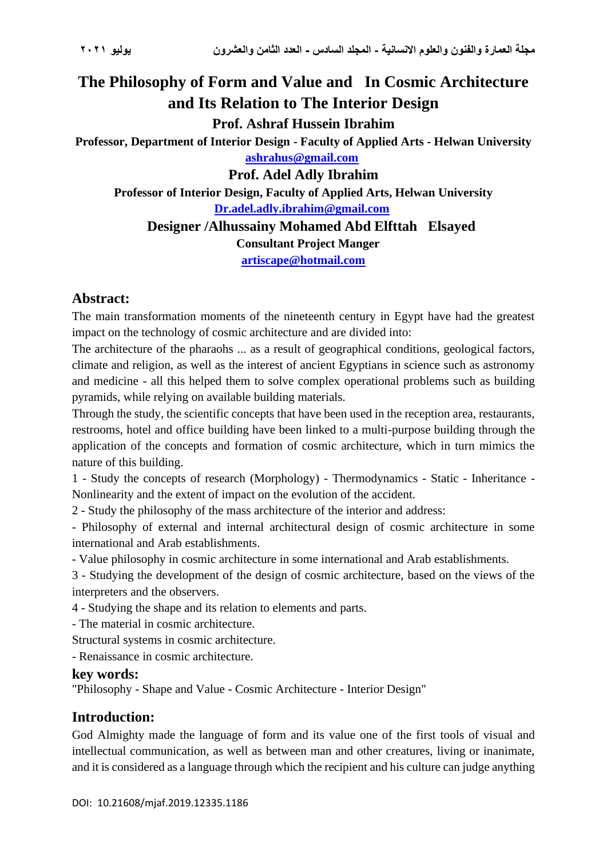# **The Philosophy of Form and Value and In Cosmic Architecture and Its Relation to The Interior Design Prof. Ashraf Hussein Ibrahim Professor, Department of Interior Design - Faculty of Applied Arts - Helwan University [ashrahus@gmail.com](mailto:ashrahus@gmail.com)  Prof. Adel Adly Ibrahim**

**Professor of Interior Design, Faculty of Applied Arts, Helwan University [Dr.adel.adly.ibrahim@gmail.com](mailto:Dr.adel.adly.ibrahim@gmail.com)** 

# **Designer /Alhussainy Mohamed Abd Elfttah Elsayed**

**Consultant Project Manger**

**[artiscape@hotmail.com](mailto:artiscape@hotmail.com)**

# **Abstract:**

The main transformation moments of the nineteenth century in Egypt have had the greatest impact on the technology of cosmic architecture and are divided into:

The architecture of the pharaohs ... as a result of geographical conditions, geological factors, climate and religion, as well as the interest of ancient Egyptians in science such as astronomy and medicine - all this helped them to solve complex operational problems such as building pyramids, while relying on available building materials.

Through the study, the scientific concepts that have been used in the reception area, restaurants, restrooms, hotel and office building have been linked to a multi-purpose building through the application of the concepts and formation of cosmic architecture, which in turn mimics the nature of this building.

1 - Study the concepts of research (Morphology) - Thermodynamics - Static - Inheritance - Nonlinearity and the extent of impact on the evolution of the accident.

2 - Study the philosophy of the mass architecture of the interior and address:

- Philosophy of external and internal architectural design of cosmic architecture in some international and Arab establishments.

- Value philosophy in cosmic architecture in some international and Arab establishments.

3 - Studying the development of the design of cosmic architecture, based on the views of the interpreters and the observers.

4 - Studying the shape and its relation to elements and parts.

- The material in cosmic architecture.

Structural systems in cosmic architecture.

- Renaissance in cosmic architecture.

#### **key words:**

"Philosophy - Shape and Value - Cosmic Architecture - Interior Design"

# **Introduction:**

God Almighty made the language of form and its value one of the first tools of visual and intellectual communication, as well as between man and other creatures, living or inanimate, and it is considered as a language through which the recipient and his culture can judge anything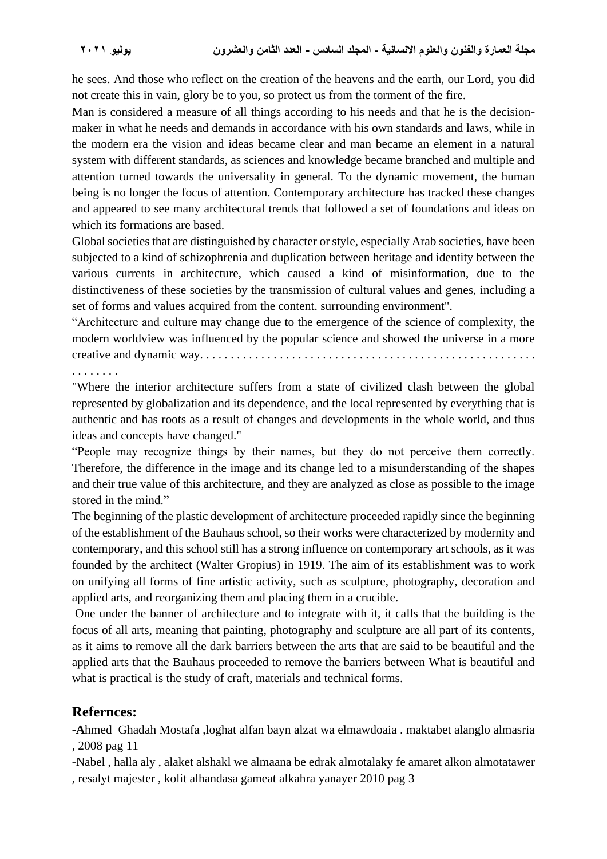he sees. And those who reflect on the creation of the heavens and the earth, our Lord, you did not create this in vain, glory be to you, so protect us from the torment of the fire.

Man is considered a measure of all things according to his needs and that he is the decisionmaker in what he needs and demands in accordance with his own standards and laws, while in the modern era the vision and ideas became clear and man became an element in a natural system with different standards, as sciences and knowledge became branched and multiple and attention turned towards the universality in general. To the dynamic movement, the human being is no longer the focus of attention. Contemporary architecture has tracked these changes and appeared to see many architectural trends that followed a set of foundations and ideas on which its formations are based.

Global societies that are distinguished by character or style, especially Arab societies, have been subjected to a kind of schizophrenia and duplication between heritage and identity between the various currents in architecture, which caused a kind of misinformation, due to the distinctiveness of these societies by the transmission of cultural values and genes, including a set of forms and values acquired from the content. surrounding environment".

"Architecture and culture may change due to the emergence of the science of complexity, the modern worldview was influenced by the popular science and showed the universe in a more creative and dynamic way. . . . . . . . . . . . . . . . . . . . . . . . . . . . . . . . . . . . . . . . . . . . . . . . . . . . . . .

. . . . . . . .

"Where the interior architecture suffers from a state of civilized clash between the global represented by globalization and its dependence, and the local represented by everything that is authentic and has roots as a result of changes and developments in the whole world, and thus ideas and concepts have changed."

"People may recognize things by their names, but they do not perceive them correctly. Therefore, the difference in the image and its change led to a misunderstanding of the shapes and their true value of this architecture, and they are analyzed as close as possible to the image stored in the mind."

The beginning of the plastic development of architecture proceeded rapidly since the beginning of the establishment of the Bauhaus school, so their works were characterized by modernity and contemporary, and this school still has a strong influence on contemporary art schools, as it was founded by the architect (Walter Gropius) in 1919. The aim of its establishment was to work on unifying all forms of fine artistic activity, such as sculpture, photography, decoration and applied arts, and reorganizing them and placing them in a crucible.

One under the banner of architecture and to integrate with it, it calls that the building is the focus of all arts, meaning that painting, photography and sculpture are all part of its contents, as it aims to remove all the dark barriers between the arts that are said to be beautiful and the applied arts that the Bauhaus proceeded to remove the barriers between What is beautiful and what is practical is the study of craft, materials and technical forms.

# **Refernces:**

**-A**hmed Ghadah Mostafa ,loghat alfan bayn alzat wa elmawdoaia . maktabet alanglo almasria , 2008 pag 11

-Nabel , halla aly , alaket alshakl we almaana be edrak almotalaky fe amaret alkon almotatawer

, resalyt majester , kolit alhandasa gameat alkahra yanayer 2010 pag 3